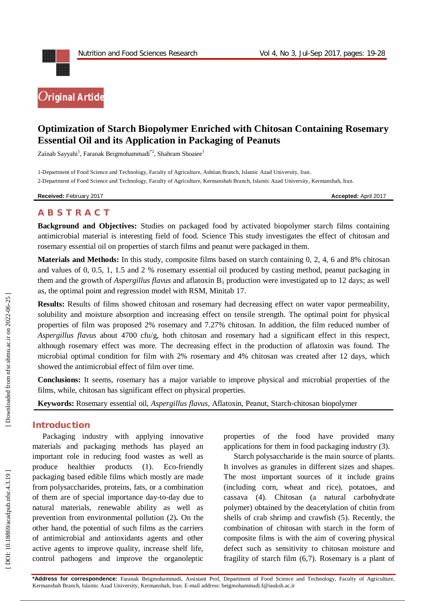

# **Optimization of Starch Biopolymer Enriched with Chitosan Containing Rosemary Essential Oil and its Application in Packaging of Peanuts**

Zainab Sayyahi<sup>1</sup>, Faranak Beigmohammadi<sup>\*2</sup>, Shahram Shoaiee<sup>1</sup>

1 -Department of Food Science and Technology, Faculty of Agriculture, Ashtian Branch, Islamic Azad University, Iran. 2 -Department of Food Science and Technology, Faculty of Agriculture, Kermanshah Branch, Islamic Azad University, Kermanshah, Iran .

**Received:** February 201

7 **Accepted:** April 201 7

## **A B S T R A C T**

**Background and Objectives:** Studies on packaged food by activated biopolymer starch films containing antimicrobial material is interesting field of food. Science This study investigates the effect of chitosan and rosemary essential oil on properties of starch films and peanut were packaged in them.

**Materials and Methods:** In this study, composite films based on starch containing 0, 2, 4, 6 and 8% chitosan and values of 0, 0.5, 1, 1.5 and 2 % rosemary essential oil produced by casting method, peanut packaging in them and the growth of *Aspergillus flavus* and aflatoxin B <sup>1</sup> production were investigated up to 12 days; as well as, the optimal point and regression model with RSM, Minitab 17.

**Results:** Results of films showed chitosan and rosemary had decreasing effect on water vapor permeability, solubility and moisture absorption and increasing effect on tensile strength. The optimal point for physical properties of film was proposed 2% rosemary and 7.27% chitosan. In addition, the film reduced number of *Aspergillus flavus* about 4700 cfu/g, both chitosan and rosemary had a significant effect in this respect, although rosemary effect was more. The decreasing effect in the production of aflatoxin was found. The microbial optimal condition for film with 2% rosemary and 4% chitosan was created after 12 days, which showed the antimicrobial effect of film over time.

**Conclusions:** It seems, rosemary has a major variable to improve physical and microbial properties of the films, while, chitosan has significant effect on physical properties.

**Keywords:** Rosemary essential oil, *Aspergillus flavus*, Aflatoxin, Peanut, Starch -chitosan biopolymer

### **Introduction**

Packaging industry with applying innovative materials and packaging methods has played an important role in reducing food wastes as well as produce healthier products  $(1)$ . Eco-friendly packaging based edible films which mostly are made from polysaccharides, proteins, fats, or a combination of them are of special importance day -to -day due to natural materials, renewable ability as well as prevention from environmental pollution ( 2 )**.** On the other hand, the potential of such films as the carriers of antimicrobial and antioxidants agents and other active agents to improve quality, increase shelf life, control pathogens and improve the organoleptic

properties of the food have provided many applications for them in food packaging industry (3).

Starch polysaccharide is the main source of plants. It involves as granules in different sizes and shapes. The most important sources of it include grains (including corn, wheat and rice), potatoes, and cassava (4). Chitosan (a natural carbohydrate polymer) obtained by the deacetylation of chitin from shells of crab shrimp and crawfish (5). Recently, the combination of chitosan with starch in the form of composite films is with the aim of covering physical defect such as sensitivity to chitosan moisture and fragility of starch film (6,7). Rosemary is a plant of

**\*Address for correspondence:** Faranak Beigmohammadi, Assistant Prof, Department of Food Science and Technology, Faculty of Agriculture, Kermanshah Branch, Islamic Azad University, Kermanshah, Iran . E -mail address: beigmohammadi.f@iauksh.ac.ir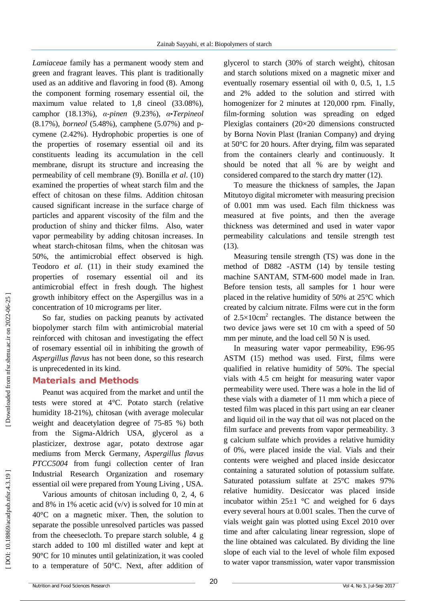*Lamiaceae* family has a permanent woody stem and green and fragrant leaves. This plant is traditionally used as an additive and flavoring in food (8). Among the component forming rosemary essential oil, the maximum value related to 1,8 cineol (33 .08%), camphor (18 .13%), *α -pinen* (9.23%), *α -Terpineol* (8.17%), *borneol* (5.48%), camphene (5.07%) and pcymene (2 .42%). Hydrophobic properties is one of the properties of rosemary essential oil and its constituents leading its accumulation in the cell membrane, disrupt its structure and increasing the permeability of cell membrane (9). Bonilla *et al*. (10) examined the properties of wheat starch film and the effect of chitosan on these films. Addition chitosan caused significant increase in the surface charge of particles and apparent viscosity of the film and the production of shiny and thicker films. Also, water vapor permeability by adding chitosan increases. In wheat starch -chitosan films, when the chitosan was 50%, the antimicrobial effect observed is high. Teodoro *et al.* (11) in their study examined the properties of rosemary essential oil and its antimicrobial effect in fresh dough. The highest growth inhibitory effect on the Aspergillus was in a concentration of 10 micrograms per liter.

So far, studies on packing peanuts by activated biopolymer starch film with antimicrobial material reinforced with chitosan and investigating the effect of rosemary essential oil in inhibiting the growth of *Aspergillus flavus* has not been done, so this research is unprecedented in its kind.

### **Material s and Methods**

Peanut was acquired from the market and until the tests were stored at 4°C. Potato starch (relative humidity 18 -21%), chitosan (with average molecular weight and deacetylation degree of 75 -85 %) both from the Sigma -Aldrich USA, glycerol as a plasticizer, dextrose agar, potato dextrose agar mediums from Merck Germany, *Aspergillus flavus PTCC5004* from fungi collection center of Iran Industrial Research Organization and rosemary essential oil were prepared from Young Living , USA.

Various amounts of chitosan including 0, 2, 4, 6 and 8% in 1% acetic acid  $(v/v)$  is solved for 10 min at 40°C on a magnetic mixer. Then, the solution to separate the possible unresolved particles was passed from the cheesecloth. To prepare starch soluble, 4 g starch added to 100 ml distilled water and kept at 90°C for 10 minutes until gelatinization , it was cooled to a temperature of 50°C. Next, after addition of

glycerol to starch (30% of starch weight), chitosan and starch solutions mixed on a magnetic mixer and eventually rosemary essential oil with 0, 0.5, 1, 1.5 and 2% added to the solution and stirred with homogenizer for 2 minutes at 120,000 rpm. Finally, film -forming solution was spreading on edged Plexiglas containers (20×20 dimensions constructed by Borna Novin Plast (Iranian Company) and drying at 50°C for 20 hours. After drying, film was separated from the containers clearly and continuously. It should be noted that all % are by weight and considered compared to the starch dry matter (12).

To measure the thickness of samples, the Japan Mitutoyo digital micrometer with measuring precision of 0.001 mm was used. Each film thickness was measured at five points, and then the average thickness was determined and used in water vapor permeability calculations and tensile strength test (13).

Measuring tensile strength (TS) was done in the method of D882 -ASTM (14) by tensile testing machine SANTAM, STM -600 model made in Iran. Before tension tests, all samples for 1 hour were placed in the relative humidity of 50% at 25°C which created by calcium nitrate. Films were cut in the form of  $2.5 \times 10$ cm<sup>2</sup> rectangles. The distance between the two device jaws were set 10 cm with a speed of 50 mm per minute, and the load cell 50 N is used.

In measuring water vapor permeability, E96 -95 ASTM (15) method was used. First, films were qualified in relative humidity of 50%. The special vials with 4.5 cm height for measuring water vapor permeability were used. There was a hole in the lid of these vials with a diameter of 11 mm which a piece of tested film was placed in this part using an ear cleaner and liquid oil in the way that oil was not placed on the film surface and prevents from vapor permeability. 3 g calcium sulfate which provides a relative humidity of 0%, were placed inside the vial. Vials and their contents were weighed and placed inside desiccator containing a saturated solution of potassium sulfate. Saturated potassium sulfate at 25°C makes 97% relative humidity. Desiccator was placed inside incubator within  $25\pm1$  °C and weighed for 6 days every several hours at 0.001 scales. Then the curve of vials weight gain was plotted using Excel 2010 over time and after calculating linear regression, slope of the line obtained was calculated. By dividing the line slope of each vial to the level of whole film exposed to water vapor transmission, water vapor transmission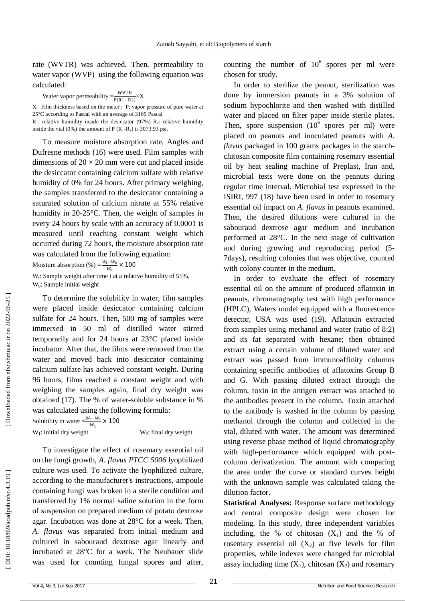rate (WVTR) was achieved. Then, permeability to water vapor (WVP) using the following equation was calculated:

Water vapor permeability  $=\frac{WVTR}{P(PA-P)}$  $\frac{WV1R}{P(R1-R2)} \times X$ 

X: Film thickness based on the meter ; P: vapor pressure of pure water at 25°C according to Pascal with an average of 3169 Pascal<br> $R_1$ : relative humidity inside the desiccator (97%)  $R_2$ : relative humidity

inside the vial (0%) the amount of  $P(R_1-R_2)$  is 3073.93 psi.

To measure moisture absorption rate, Angles and Dufresne methods (16) were used. Film samples with dimensions of  $20 \times 20$  mm were cut and placed inside the desiccator containing calcium sulfate with relative humidity of 0% for 24 hours. After primary weighing, the samples transferred to the desiccator containing a saturated solution of calcium nitrate at 55% relative humidity in 20 -25°C. Then, the weight of samples in every 24 hours by scale with an accuracy of 0.0001 is measured until reaching constant weight which occurred during 72 hours, the moisture absorption rate was calculated from the following equation:

Moisture absorption  $\left(\% \right) = \frac{W_t - W_0}{W}$  $\frac{e^{-w_0}}{w_0}$  × 100

 $W_t$ : Sample weight after time t at a relative humidity of 55%, W <sup>0</sup>: Sample initial weight

To determine the solubility in water, film samples were placed inside desiccator containing calcium sulfate for 24 hours. Then, 500 mg of samples were immersed in 50 ml of distilled water stirred temporarily and for 24 hours at 23°C placed inside incubator. After that, the films were removed from the water and moved back into desiccator containing calcium sulfate has achieved constant weight. During 96 hours, films reached a constant weight and with weighing the samples again, final dry weight was obtained (17). The % of water -soluble substance in % was calculated using the following formula:

Solubility in water  $=\frac{W_1-W_2}{W_1}$  $\frac{1 - w_2}{w_1} \times 100$  $W_1$ : initial dry weight W

 $W_2$ : final dry weight

To investigate the effect of rosemary essential oil on the fungi growth, *A. flavus PTCC 5006* lyophilized culture was used. To activate the lyophilized culture, according to the manufacturer's instructions, ampoule containing fungi was broken in a sterile condition and transferred by 1% normal saline solution in the form of suspension on prepared medium of potato dextrose agar. Incubation was done at 28°C for a week. Then, *A. flavus* was separated from initial medium and cultured in sabouraud dextrose agar linearly and incubated at 28°C for a week. The Neubauer slide was used for counting fungal spores and after,

counting the number of  $10^6$  spores per ml were chosen for study.

In order to sterilize the peanut, sterilization was done by immersion peanuts in a 3% solution of sodium hypochlorite and then washed with distilled water and placed on filter paper inside sterile plates. Then, spore suspension  $(10^6 \text{ spores per ml})$  were placed on peanuts and inoculated peanuts with *A. flavus* packaged in 100 grams packages in the starch chitosan composite film containing rosemary essential oil by heat sealing machine of Preplast, Iran and, microbial tests were done on the peanuts during regular time interval. Microbial test expressed in the ISIRI, 997 (18) have been used in order to rosemary essential oil impact on *A. flavus* in peanuts examined. Then, the desired dilutions were cultured in the sabouraud dextrose agar medium and incubation performed at 28°C. In the next stage of cultivation and during growing and reproducing period (5 - 7days), resulting colonies that was objective, counted with colony counter in the medium.

In order to evaluate the effect of rosemary essential oil on the amount of produced aflatoxin in peanuts, chromatography test with high performance (HPLC), Waters model equipped with a fluorescence detector, USA was used (19). Aflatoxin extracted from samples using methanol and water (ratio of 8:2) and its fat separated with hexane; then obtained extract using a certain volume of diluted water and extract was passed from immunoaffinity columns containing specific antibodies of aflatoxins Group B and G. With passing diluted extract through the column, toxin in the antigen extract was attached to the antibodies present in the column. Toxin attached to the antibody is washed in the column by passing methanol through the column and collected in the vial, diluted with water. The amount was determined using reverse phase method of liquid chromatography with high -performance which equipped with post column derivatization. The amount with comparing the area under the curve or standard curves height with the unknown sample was calculated taking the dilution factor.

**Statistical Analyses:** Response surface methodology and central composite design were chosen for modeling. In this study, three independent variables including, the % of chitosan  $(X_1)$  and the % of rosemary essential oil  $(X_2)$  at five levels for film properties, while indexes were changed for microbial assay including time  $(X_1)$ , chitosan  $(X_2)$  and rosemary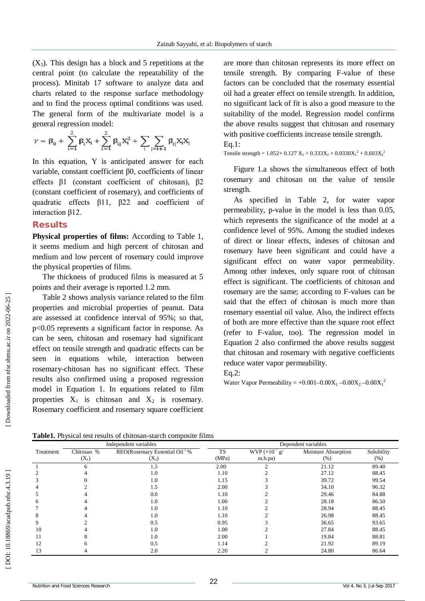$(X_3)$ . This design has a block and 5 repetitions at the central point (to calculate the repeatability of the process). Minitab 17 software to analyze data and charts related to the response surface methodology and to find the process optimal conditions was used. The general form of the multivariate model is a general regression model:

$$
\gamma = \beta_0 + \sum_{i=1}^2 \beta_i X_i + \sum_{i=1}^2 \beta_{ij} X_i^2 + \sum_i \sum_{j=i+1} \beta_{ij} X_i X_j
$$

In this equation, Y is anticipated answer for each variable, constant coefficient β0, coefficients of linear effects β1 (constant coefficient of chitosan), β2 (constant coefficient of rosemary), and coefficients of quadratic effects β11, β22 and coefficient of interaction β12.

#### **Results**

**Physical properties of films:** According to Table 1, it seems medium and high percent of chitosan and medium and low percent of rosemary could improve the physical properties of films.

The thickness of produced films is measured at 5 points and their average is reported 1.2 mm.

Table 2 shows analysis variance related to the film properties and microbial properties of peanut. Data are assessed at confidence interval of 95%; so that, p<0.05 represents a significant factor in response. As can be seen, chitosan and rosemary had significant effect on tensile strength and quadratic effects can be seen in equations while, interaction between rosemary -chitosan has no significant effect. These results also confirmed using a proposed regression model in Equation 1. In equations related to film properties  $X_1$  is chitosan and  $X_2$  is rosemary. Rosemary coefficient and rosemary square coefficient

are more than chitosan represents its more effect on tensile strength. By comparing F -value of these factors can be concluded that the rosemary essential oil had a greater effect on tensile strength. In addition, no significant lack of fit is also a good measure to the suitability of the model. Regression model confirms the above results suggest that chitosan and rosemary with positive coefficients increase tensile strength. Eq.1:

Tensile strength =  $1.052 + 0.127$  X<sub>1</sub> +  $0.333X_2 + 0.0330X_1^2 + 0.603X_2^2$ 

Figure 1.a shows the simultaneous effect of both rosemary and chitosan on the value of tensile strength.

As specified in Table 2, for water vapor permeability, p -value in the model is less than 0.05, which represents the significance of the model at a confidence level of 95%. Among the studied indexes of direct or linear effects, indexes of chitosan and rosemary have been significant and could have a significant effect on water vapor permeability. Among other indexes, only square root of chitosan effect is significant. The coefficients of chitosan and rosemary are the same; according to F -values can be said that the effect of chitosan is much more than rosemary essential oil value. Also, the indirect effects of both are more effective than the square root effect (refer to F-value, too). The regression model in Equation 2 also confirmed the above results suggest that chitosan and rosemary with negative coefficients reduce water vapor permeability.

Eq.2:

Water Vapor Permeability =  $+0.001 - 0.00X_1 - 0.00X_2 - 0.00X_1^2$ 

|  |  | Table1. Physical test results of chitosan-starch composite films |  |
|--|--|------------------------------------------------------------------|--|
|  |  |                                                                  |  |
|  |  |                                                                  |  |

| Independent variables |            |                                                        | Dependent variables |                |                     |            |  |
|-----------------------|------------|--------------------------------------------------------|---------------------|----------------|---------------------|------------|--|
| Treatment             | Chitosan % | REO(Rosemary Essential Oil <sup><math>)</math></sup> % | <b>TS</b>           | $WVP(x10-7 g)$ | Moisture Absorption | Solubility |  |
|                       | $(X_1)$    | $(X_2)$                                                | (MPa)               | m.h.pa)        | $(\% )$             | (%)        |  |
|                       | 6          | 1.5                                                    | 2.00                |                | 21.12               | 89.40      |  |
|                       |            | 1.0                                                    | 1.10                |                | 27.12               | 88.45      |  |
|                       |            | 1.0                                                    | 1.15                |                | 39.72               | 99.54      |  |
|                       |            | 1.5                                                    | 2.00                |                | 34.10               | 96.32      |  |
|                       |            | 0.0                                                    | 1.10                |                | 29.46               | 84.88      |  |
| n                     |            | 1.0                                                    | 1.00                |                | 28.18               | 86.50      |  |
|                       |            | 1.0                                                    | 1.10                |                | 28.94               | 88.45      |  |
|                       |            | 1.0                                                    | 1.10                |                | 26.98               | 88.45      |  |
| 9                     |            | 0.5                                                    | 0.95                |                | 36.65               | 93.65      |  |
| 10                    |            | 1.0                                                    | 1.00                |                | 27.84               | 88.45      |  |
| 11                    |            | 1.0                                                    | 2.00                |                | 19.84               | 88.81      |  |
| 12                    | h          | 0.5                                                    | 1.14                |                | 21.92               | 89.19      |  |
| 13                    |            | 2.0                                                    | 2.20                |                | 24.80               | 86.64      |  |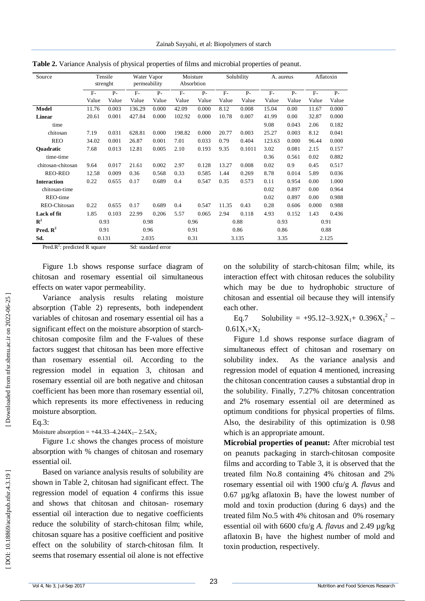| Source               |                | Tensile<br>strenght | Water Vapor<br>permeability |                | Moisture<br>Absorbtion |                |               | Solubility     | A. aureus     |                | Aflatoxin     |                |
|----------------------|----------------|---------------------|-----------------------------|----------------|------------------------|----------------|---------------|----------------|---------------|----------------|---------------|----------------|
|                      | $F -$<br>Value | $P -$<br>Value      | $F-$<br>Value               | $P -$<br>Value | $F-$<br>Value          | $P -$<br>Value | $F-$<br>Value | $P -$<br>Value | $F-$<br>Value | $P -$<br>Value | $F-$<br>Value | $P -$<br>Value |
|                      |                |                     |                             |                |                        |                |               |                |               |                |               |                |
| Model                | 11.76          | 0.003               | 136.29                      | 0.000          | 42.09                  | 0.000          | 8.12          | 0.008          | 15.04         | 0.00           | 11.67         | 0.000          |
| <b>Linear</b>        | 20.61          | 0.001               | 427.84                      | 0.000          | 102.92                 | 0.000          | 10.78         | 0.007          | 41.99         | 0.00           | 32.87         | 0.000          |
| time                 |                |                     |                             |                |                        |                |               |                | 9.08          | 0.043          | 2.06          | 0.182          |
| chitosan             | 7.19           | 0.031               | 628.81                      | 0.000          | 198.82                 | 0.000          | 20.77         | 0.003          | 25.27         | 0.003          | 8.12          | 0.041          |
| <b>REO</b>           | 34.02          | 0.001               | 26.87                       | 0.001          | 7.01                   | 0.033          | 0.79          | 0.404          | 123.63        | 0.000          | 96.44         | 0.000          |
| <b>Ouadratic</b>     | 7.68           | 0.013               | 12.81                       | 0.005          | 2.10                   | 0.193          | 9.35          | 0.1011         | 3.02          | 0.081          | 2.15          | 0.157          |
| time-time            |                |                     |                             |                |                        |                |               |                | 0.36          | 0.561          | 0.02          | 0.882          |
| chitosan-chitosan    | 9.64           | 0.017               | 21.61                       | 0.002          | 2.97                   | 0.128          | 13.27         | 0.008          | 0.02          | 0.9            | 0.45          | 0.517          |
| <b>REO-REO</b>       | 12.58          | 0.009               | 0.36                        | 0.568          | 0.33                   | 0.585          | 1.44          | 0.269          | 8.78          | 0.014          | 5.89          | 0.036          |
| <b>Interaction</b>   | 0.22           | 0.655               | 0.17                        | 0.689          | 0.4                    | 0.547          | 0.35          | 0.573          | 0.11          | 0.954          | 0.00          | 1.000          |
| chitosan-time        |                |                     |                             |                |                        |                |               |                | 0.02          | 0.897          | 0.00          | 0.964          |
| REO-time             |                |                     |                             |                |                        |                |               |                | 0.02          | 0.897          | 0.00          | 0.988          |
| REO-Chitosan         | 0.22           | 0.655               | 0.17                        | 0.689          | 0.4                    | 0.547          | 11.35         | 0.43           | 0.28          | 0.606          | 0.000         | 0.988          |
| Lack of fit          | 1.85           | 0.103               | 22.99                       | 0.206          | 5.57                   | 0.065          | 2.94          | 0.118          | 4.93          | 0.152          | 1.43          | 0.436          |
| ${\bf R}^2$          | 0.93           |                     | 0.98                        |                | 0.96                   |                |               | 0.88           | 0.93          |                | 0.91          |                |
| Pred. $\mathbb{R}^2$ | 0.91           |                     | 0.96                        |                | 0.91                   |                |               | 0.86           | 0.86          |                | 0.88          |                |
| Sd.                  |                | 0.131               | 2.035                       |                | 0.31                   |                |               | 3.135          | 3.35          |                | 2.125         |                |

**Table 2.** Variance Analysis of physical properties of films and microbial properties of peanut.

Pred. $R^2$ : predicted R square Sd: standard error

Figure 1.b shows response surface diagram of chitosan and rosemary essential oil simultaneous effects on water vapor permeability.

Variance analysis results relating moisture absorption (Table 2) represents, both independent variables of chitosan and rosemary essential oil has a significant effect on the moisture absorption of starch chitosan composite film and the F -values of these factors suggest that chitosan has been more effective than rosemary essential oil. According to the regression model in equation 3, chitosan and rosemary essential oil are both negative and chitosan coefficient has been more than rosemary essential oil, which represents its more effectiveness in reducing moisture absorption.

# $Eq.3$ :

Moisture absorption =  $+44.33-4.244X_1 - 2.54X_2$ 

Figure 1.c shows the changes process of moisture absorption with % changes of chitosan and rosemary essential oil.

Based on variance analysis results of solubility are shown in Table 2, chitosan had significant effect. The regression model of equation 4 confirms this issue and shows that chitosan and chitosan - rosemary essential oil interaction due to negative coefficients reduce the solubility of starch -chitosan film; while, chitosan square has a positive coefficient and positive effect on the solubility of starch -chitosan film. It seems that rosemary essential oil alone is not effective

on the solubility of starch -chitosan film; while, its interaction effect with chitosan reduces the solubility which may be due to hydrophobic structure of chitosan and essential oil because they will intensify each other.

Eq.7 Solubility =  $+95.12-3.92X_1+ 0.396X_1^2$  –  $0.61X_1\times X_2$ 

Figure 1.d shows response surface diagram of simultaneous effect of chitosan and rosemary on solubility index. As the variance analysis and regression model of equation 4 mentioned, increasing the chitosan concentration causes a substantial drop in the solubility. Finally, 7.27% chitosan concentration and 2% rosemary essential oil are determined as optimum conditions for physical properties of films. Also, the desirability of this optimization is 0.98 which is an appropriate amount.

**Microbial properties of peanut:** After microbial test on peanuts packaging in starch -chitosan composite films and according to Table 3, it is observed that the treated film No.8 containing 4% chitosan and 2% rosemary essential oil with 1900 cfu/g *A. flavus* and 0.67  $\mu$ g/kg aflatoxin  $B_1$  have the lowest number of mold and toxin production (during 6 days) and the treated film No.5 with 4% chitosan and 0% rosemary essential oil with 6600 cfu/g *A . flavus* and 2.49 µg/kg aflatoxin  $B_1$  have the highest number of mold and toxin production, respectively.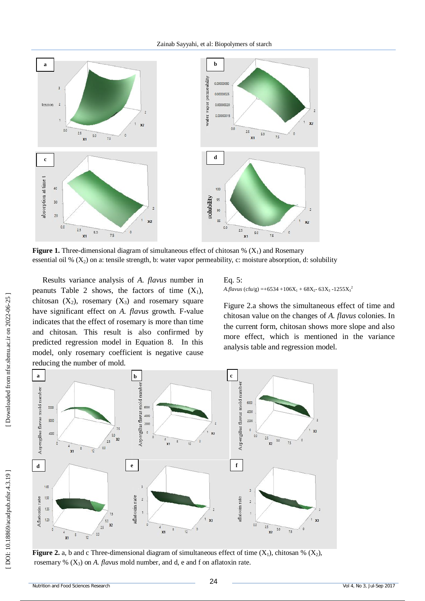

**Figure 1.** Three-dimensional diagram of simultaneous effect of chitosan  $\%$  ( $X_1$ ) and Rosemary essential oil %  $(X_2)$  on a: tensile strength, b: water vapor permeability, c: moisture absorption, d: solubility

Results variance analysis of *A. flavus* number in peanuts Table 2 shows, the factors of time  $(X_1)$ , chitosan  $(X_2)$ , rosemary  $(X_3)$  and rosemary square have significant effect on *A. flavus* growth. F -value indicates that the effect of rosemary is more than time and chitosan. This result is also confirmed by predicted regression model in Equation 8. In this model, only rosemary coefficient is negative cause reducing the number of mold.

Eq. 5: *A.flavus* (cfu/g) =+6534 +106X<sub>1</sub> + 68X<sub>2</sub>- 63X<sub>3</sub> -1255X<sub>3</sub><sup>2</sup>

Figure 2.a shows the simultaneous effect of time and chitosan value on the changes of *A. flavus* colonies. In the current form, chitosan shows more slope and also more effect, which is mentioned in the variance analysis table and regression model.



**Figure 2.** a, b and c Three-dimensional diagram of simultaneous effect of time  $(X_1)$ , chitosan %  $(X_2)$ , rosemary % (X <sup>3</sup>) on *A . flavus* mold number, and d, e and f on aflatoxin rate.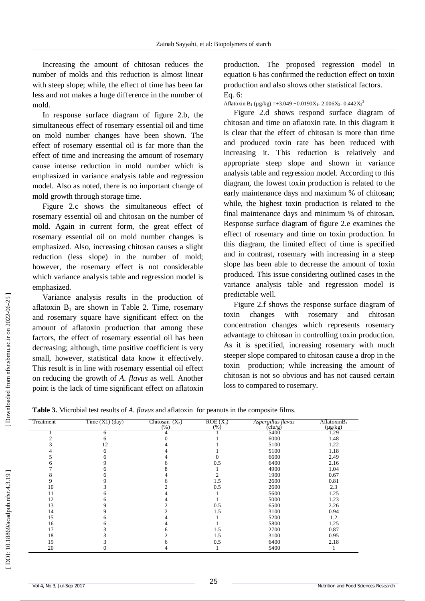Increasing the amount of chitosan reduces the number of molds and this reduction is almost linear with steep slope; while, the effect of time has been far less and not makes a huge difference in the number of mold.

In response surface diagram of figure 2.b, the simultaneous effect of rosemary essential oil and time on mold number changes have been shown. The effect of rosemary essential oil is far more than the effect of time and increasing the amount of rosemary cause intense reduction in mold number which is emphasized in variance analysis table and regression model. Also as noted, there is no important change of mold growth through storage time.

Figure 2.c shows the simultaneous effect of rosemary essential oil and chitosan on the number of mold. Again in current form, the great effect of rosemary essential oil on mold number changes is emphasized. Also, increasing chitosan causes a slight reduction (less slope) in the number of mold; however, the rosemary effect is not considerable which variance analysis table and regression model is emphasized.

Variance analysis results in the production of aflatoxin  $B_1$  are shown in Table 2. Time, rosemary and rosemary square have significant effect on the amount of aflatoxin production that among these factors, the effect of rosemary essential oil has been decreasing; although, time positive coefficient is very small, however, statistical data know it effectively. This result is in line with rosemary essential oil effect on reducing the growth of *A. flavus* as well. Another point is the lack of time significant effect on aflatoxin

production. The proposed regression model in equation 6 has confirmed the reduction effect on toxin production and also shows other statistical factors. Eq. 6:

Aflatoxin B<sub>1</sub> (µg/kg) = +3.049 + 0.0190X<sub>1</sub> - 2.006X<sub>3</sub> - 0.442X<sub>3</sub><sup>2</sup>

Figure 2.d shows respond surface diagram of chitosan and time on aflatoxin rate. In this diagram it is clear that the effect of chitosan is more than time and produced toxin rate has been reduced with increasing it. This reduction is relatively and appropriate steep slope and shown in variance analysis table and regression model. According to this diagram, the lowest toxin production is related to the early maintenance days and maximum % of chitosan; while, the highest toxin production is related to the final maintenance days and minimum % of chitosan. Response surface diagram of figure 2.e examines the effect of rosemary and time on toxin production. In this diagram, the limited effect of time is specified and in contrast, rosemary with increasing in a steep slope has been able to decrease the amount of toxin produced. This issue considering outlined cases in the variance analysis table and regression model is predictable well.

Figure 2.f shows the response surface diagram of toxin changes with rosemary and chitosan concentration changes which represents rosemary advantage to chitosan in controlling toxin production. As it is specified, increasing rosemary with much steeper slope compared to chitosan cause a drop in the toxin production; while increasing the amount of chitosan is not so obvious and has not caused certain loss to compared to rosemary.

| Table 3. Microbial test results of A. flavus and aflatoxin for peanuts in the composite films. |  |  |  |
|------------------------------------------------------------------------------------------------|--|--|--|
|------------------------------------------------------------------------------------------------|--|--|--|

| Treatment | Time $(X1)$ (day) | Chitosan $(X_2)$<br>(% ) | $ROE(X_3)$<br>(%) | Aspergillus flavus<br>$(\text{c}$ fu/g) | AflatoxinB <sub>1</sub><br>$(\mu g/kg)$ |
|-----------|-------------------|--------------------------|-------------------|-----------------------------------------|-----------------------------------------|
|           | n                 |                          |                   | 5400                                    | 1.29                                    |
|           |                   |                          |                   | 6000                                    | 1.48                                    |
|           | 12                |                          |                   | 5100                                    | 1.22                                    |
|           | h                 |                          |                   | 5100                                    | 1.18                                    |
|           |                   |                          |                   | 6600                                    | 2.49                                    |
|           |                   |                          | 0.5               | 6400                                    | 2.16                                    |
|           |                   |                          |                   | 4900                                    | 1.04                                    |
|           |                   |                          |                   | 1900                                    | 0.67                                    |
|           |                   |                          | 1.5               | 2600                                    | 0.81                                    |
| 10        |                   |                          | 0.5               | 2600                                    | 2.3                                     |
| ۱1        |                   |                          |                   | 5600                                    | 1.25                                    |
| 12        |                   |                          |                   | 5000                                    | 1.23                                    |
| 13        |                   |                          | 0.5               | 6500                                    | 2.26                                    |
| 14        |                   |                          | 1.5               | 3100                                    | 0.94                                    |
| 15        |                   |                          |                   | 5200                                    | 1.2                                     |
| 16        |                   |                          |                   | 5800                                    | 1.25                                    |
| 17        |                   |                          | 1.5               | 2700                                    | 0.87                                    |
| 18        |                   |                          | 1.5               | 3100                                    | 0.95                                    |
| 19        |                   |                          | 0.5               | 6400                                    | 2.18                                    |
| 20        |                   |                          |                   | 5400                                    |                                         |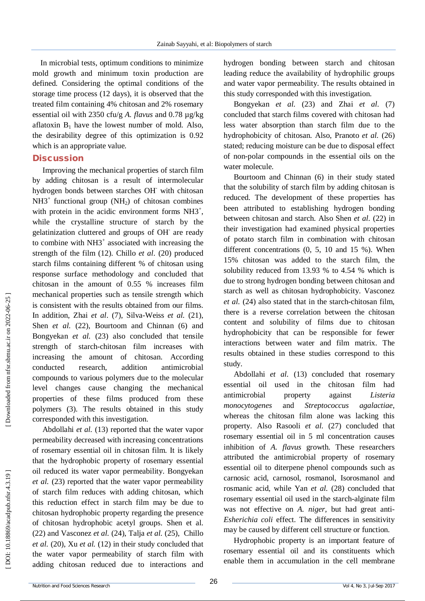In microbial tests, optimum conditions to minimize mold growth and minimum toxin production are defined. Considering the optimal conditions of the storage time process (12 days), it is observed that the treated film containing 4% chitosan and 2% rosemary essential oil with 2350 cfu/g *A. flavus* and 0.78 µg/kg aflatoxin  $B_1$  have the lowest number of mold. Also, the desirability degree of this optimization is 0.92 which is an appropriate value.

#### **Discussion**

Improving the mechanical properties of starch film by adding chitosan is a result of intermolecular hydrogen bonds between starches OH with chitosan  $NH3^+$  functional group (NH<sub>2</sub>) of chitosan combines with protein in the acidic environment forms  $NH3^+$ , while the crystalline structure of starch by the gelatinization cluttered and groups of OH are ready to combine with NH3<sup>+</sup> associated with increasing the strength of the film (12). Chillo *et al*. (20) produced starch films containing different % of chitosan using response surface methodology and concluded that chitosan in the amount of 0.55 % increases film mechanical properties such as tensile strength which is consistent with the results obtained from our films. In addition, Zhai *et al*. (7), Silva -Weiss *et al.* (21), Shen *et al.* (22), Bourtoom and Chinnan (6) and Bongyekan *et al.* (23) also concluded that tensile strength of starch -chitosan film increases with increasing the amount of chitosan. According conducted research, addition antimicrobial compounds to various polymers due to the molecular level changes cause changing the mechanical properties of these films produced from these polymers (3). The results obtained in this study corresponded with this investigation.

Abdollahi *et al.* (13) reported that the water vapor permeability decreased with increasing concentrations of rosemary essential oil in chitosan film. It is likely that the hydrophobic property of rosemary essential oil reduced its water vapor permeability. Bongyekan *et al.* (23) reported that the water vapor permeability of starch film reduces with adding chitosan, which this reduction effect in starch film may be due to chitosan hydrophobic property regarding the presence of chitosan hydrophobic acetyl groups. Shen et al. (22) and Vasconez *et al.* (24), Talja *et al.* (25), Chillo *et al.* (20), Xu *et al.* (12) in their study concluded that the water vapor permeability of starch film with adding chitosan reduced due to interactions and

hydrogen bonding between starch and chitosan leading reduce the availability of hydrophilic groups and water vapor permeability. The results obtained in this study corresponded with this investigation.

Bongyekan *et al.* (23) and Zhai *et al.* (7) concluded that starch films covered with chitosan had less water absorption than starch film due to the hydrophobicity of chitosan. Also, Pranoto *et al.* (26) stated; reducing moisture can be due to disposal effect of non -polar compounds in the essential oils on the water molecule.

Bourtoom and Chinnan (6) in their study stated that the solubility of starch film by adding chitosan is reduced. The development of these properties has been attributed to establishing hydrogen bonding between chitosan and starch. Also Shen *et al.* (22) in their investigation had examined physical properties of potato starch film in combination with chitosan different concentrations (0, 5, 10 and 15 %). When 15% chitosan was added to the starch film, the solubility reduced from 13.93 % to 4.54 % which is due to strong hydrogen bonding between chitosan and starch as well as chitosan hydrophobicity. Vasconez *et al.* (24) also stated that in the starch -chitosan film, there is a reverse correlation between the chitosan content and solubility of films due to chitosan hydrophobicity that can be responsible for fewer interactions between water and film matrix. The results obtained in these studies correspond to this study.

Abdollahi *et al.* (13) concluded that rosemary essential oil used in the chitosan film had antimicrobial property against *Listeria monocytogenes* and *Streptococcus agalactiae*, whereas the chitosan film alone was lacking this property. Also Rasooli *et al.* (27) concluded that rosemary essential oil in 5 ml concentration causes inhibition of *A. flavus* growth. These researchers attributed the antimicrobial property of rosemary essential oil to diterpene phenol compounds such as carnosic acid, carnosol, rosmanol, Isorosmanol and rosmanic acid, while Yan *et al.* (28) concluded that rosemary essential oil used in the starch -alginate film was not effective on *A. niger*, but had great anti-*Esherichia coli* effect. The differences in sensitivity may be caused by different cell structure or function.

Hydrophobic property is an important feature of rosemary essential oil and its constituents which enable them in accumulation in the cell membrane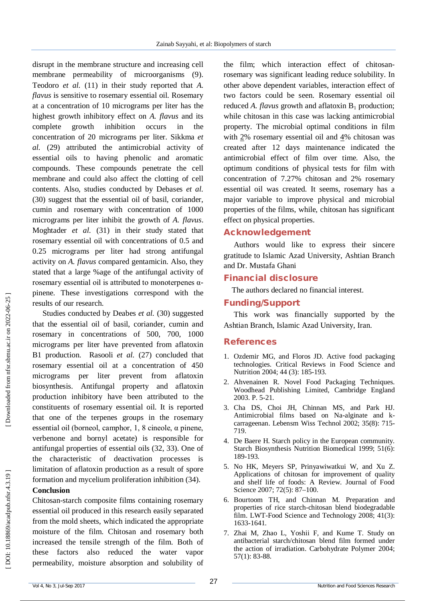disrupt in the membrane structure and increasing cell membrane permeability of microorganisms (9). Teodoro *et al.* (11) in their study reported that *A. flavus* is sensitive to rosemary essential oil. Rosemary at a concentration of 10 micrograms per liter has the highest growth inhibitory effect on *A. flavus* and its complete growth inhibition occurs in the concentration of 20 micrograms per liter. Sikkma *et al.* (29) attributed the antimicrobial activity of essential oils to having phenolic and aromatic compounds. These compounds penetrate the cell membrane and could also affect the clotting of cell contents. Also, studies conducted by Debases *et al.* (30) suggest that the essential oil of basil, coriander, cumin and rosemary with concentration of 1000 micrograms per liter inhibit the growth of *A. flavus*. Moghtader *et al.* (31) in their study stated that rosemary essential oil with concentrations of 0.5 and 0.25 micrograms per liter had strong antifungal activity on *A. flavus* compared gentamicin. Also, they stated that a large %age of the antifungal activity of rosemary essential oil is attributed to monoterpenes  $α$ pinene. These investigations correspond with the results of our research.

Studies conducted by Deabes et al. (30) suggested that the essential oil of basil, coriander, cumin and rosemary in concentrations of 500, 700, 1000 micrograms per liter have prevented from aflatoxin B1 production. Rasooli *et al.* (27) concluded that rosemary essential oil at a concentration of 450 micrograms per liter prevent from aflatoxin biosynthesis. Antifungal property and aflatoxin production inhibitory have been attributed to the constituents of rosemary essential oil. It is reported that one of the terpenes groups in the rosemary essential oil (borneol, camphor, 1, 8 cineole, α pinene, verbenone and bornyl acetate) is responsible for antifungal properties of essential oils (32, 33). One of the characteristic of deactivation processes is limitation of aflatoxin production as a result of spore formation and mycelium proliferation inhibition (34).

#### **Conclusion**

Chitosan -starch composite films containing rosemary essential oil produced in this research easily separated from the mold sheets, which indicated the appropriate moisture of the film. Chitosan and rosemary both increased the tensile strength of the film. Both of these factors also reduced the water vapor permeability, moisture absorption and solubility of

the film; which interaction effect of chitosan rosemary was significant leading reduce solubility. In other above dependent variables, interaction effect of two factors could be seen. Rosemary essential oil reduced *A. flavus* growth and aflatoxin B <sup>1</sup> production; while chitosan in this case was lacking antimicrobial property. The microbial optimal conditions in film with  $2\%$  rosemary essential oil and  $4\%$  chitosan was created after 12 days maintenance indicated the antimicrobial effect of film over time. Also, the optimum conditions of physical tests for film with concentration of 7.27% chitosan and 2% rosemary essential oil was created. It seems, rosemary has a major variable to improve physical and microbial properties of the films, while, chitosan has significant effect on physical properties.

## **Acknowledgement**

Authors would like to express their sincere gratitude to Islamic Azad University, Ashtian Branch and Dr. Mustafa Ghani

## **Financial disclosure**

The authors declared no financial interest.

## **Funding/Support**

This work was financially supported by the Ashtian Branch, Islamic Azad University, Iran.

## **References**

- 1. Ozdemir MG, and Floros JD. Active food packaging technologies. Critical Reviews in Food Science and Nutrition 2004; 44 (3): 185 -193.
- 2 . Ahvenainen R. Novel Food Packaging Techniques. Woodhead Publishing Limited, Cambridge England 2003. P. 5 -21.
- 3 . Cha DS, Choi JH, Chinnan MS, and Park HJ. Antimicrobial films based on Na -alginate and k carrageenan. Lebensm Wiss Technol 2002; 35(8): 715 - 719.
- 4 . De Baere H. Starch policy in the European community. Starch Biosynthesis Nutrition Biomedical 1999; 51(6): 189 -193.
- 5 . No HK, Meyers SP, Prinyawiwatkui W, and Xu Z. Applications of chitosan for improvement of quality and shelf life of foods: A Review. Journal of Food Science 2007; 72(5): 87 –100.
- 6 . Bourtoom TH, and Chinnan M. Preparation and properties of rice starch -chitosan blend biodegradable film. LWT-Food Science and Technology 2008; 41(3): 1633 -1641.
- 7 . Zhai M, Zhao L, Yoshii F, and Kume T. Study on antibacterial starch/chitosan blend film formed under the action of irradiation. Carbohydrate Polymer 2004; 57(1): 83 -88.